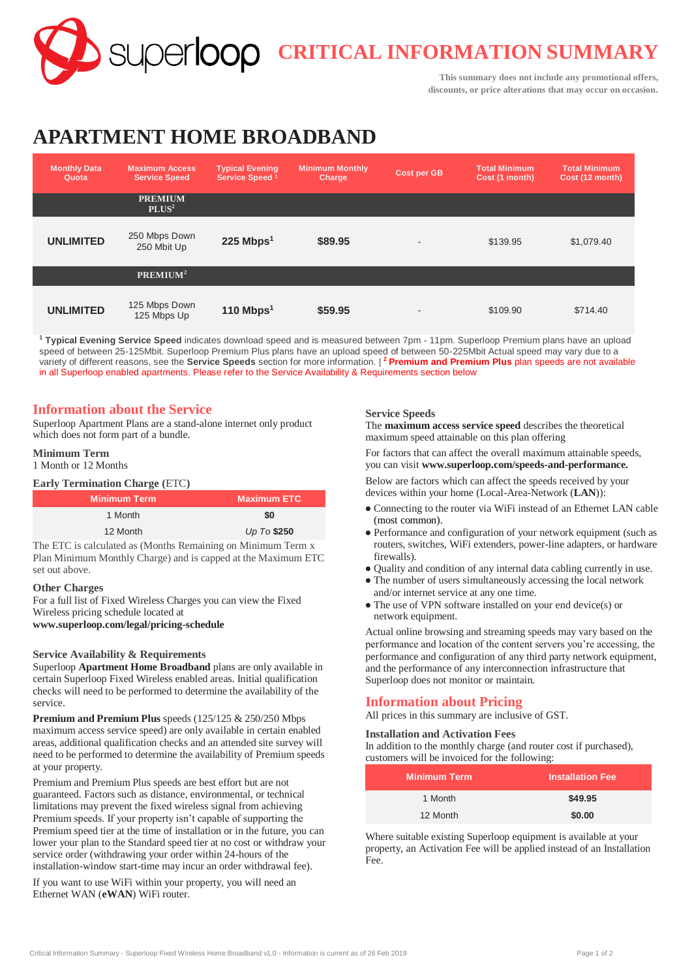**CRITICAL INFORMATION SUMMARY**

**This summary does not include any promotional offers, discounts, or price alterations that may occur on occasion.**

# **APARTMENT HOME BROADBAND**

| <b>Monthly Data</b><br>Quota | <b>Maximum Access</b><br><b>Service Speed</b> | <b>Typical Evening</b><br>Service Speed <sup>1</sup> | <b>Minimum Monthly</b><br>Charge | <b>Cost per GB</b>       | <b>Total Minimum</b><br>Cost (1 month) | <b>Total Minimum</b><br>Cost (12 month) |
|------------------------------|-----------------------------------------------|------------------------------------------------------|----------------------------------|--------------------------|----------------------------------------|-----------------------------------------|
|                              | <b>PREMIUM</b><br>PLUS <sup>2</sup>           |                                                      |                                  |                          |                                        |                                         |
| <b>UNLIMITED</b>             | 250 Mbps Down<br>250 Mbit Up                  | $225$ Mbps <sup>1</sup>                              | \$89.95                          | $\overline{\phantom{a}}$ | \$139.95                               | \$1,079.40                              |
|                              | PREMIUM <sup>2</sup>                          |                                                      |                                  |                          |                                        |                                         |
| <b>UNLIMITED</b>             | 125 Mbps Down<br>125 Mbps Up                  | 110 $Mbps1$                                          | \$59.95                          | $\overline{\phantom{a}}$ | \$109.90                               | \$714.40                                |

**<sup>1</sup> Typical Evening Service Speed** indicates download speed and is measured between 7pm - 11pm. Superloop Premium plans have an upload speed of between 25-125Mbit. Superloop Premium Plus plans have an upload speed of between 50-225Mbit Actual speed may vary due to a variety of different reasons, see the **Service Speeds** section for more information. | **<sup>2</sup>Premium and Premium Plus** plan speeds are not available in all Superloop enabled apartments. Please refer to the Service Availability & Requirements section below

# **Information about the Service**

Superloop Apartment Plans are a stand-alone internet only product which does not form part of a bundle.

# **Minimum Term**

1 Month or 12 Months

#### **Early Termination Charge (**ETC**)**

| <b>Minimum Term</b> | <b>Maximum ETC</b> |
|---------------------|--------------------|
| 1 Month             | \$0                |
| 12 Month            | $Up$ To \$250      |

The ETC is calculated as (Months Remaining on Minimum Term x Plan Minimum Monthly Charge) and is capped at the Maximum ETC set out above.

#### **Other Charges**

For a full list of Fixed Wireless Charges you can view the Fixed Wireless pricing schedule located at

**[www.superloop.com/legal/pricing-schedule](https://www.superloop.com/legal/pricing-schedule.html)**

#### **Service Availability & Requirements**

Superloop **Apartment Home Broadband** plans are only available in certain Superloop Fixed Wireless enabled areas. Initial qualification checks will need to be performed to determine the availability of the service.

**Premium and Premium Plus** speeds (125/125 & 250/250 Mbps maximum access service speed) are only available in certain enabled areas, additional qualification checks and an attended site survey will need to be performed to determine the availability of Premium speeds at your property.

Premium and Premium Plus speeds are best effort but are not guaranteed. Factors such as distance, environmental, or technical limitations may prevent the fixed wireless signal from achieving Premium speeds. If your property isn't capable of supporting the Premium speed tier at the time of installation or in the future, you can lower your plan to the Standard speed tier at no cost or withdraw your service order (withdrawing your order within 24-hours of the installation-window start-time may incur an order withdrawal fee).

If you want to use WiFi within your property, you will need an Ethernet WAN (**eWAN**) WiFi router.

#### **Service Speeds**

The **maximum access service speed** describes the theoretical maximum speed attainable on this plan offering

For factors that can affect the overall maximum attainable speeds, you can visit **[www.superloop.com/speeds-and-performance.](https://www.superloop.com/speeds-and-performance.html)**

Below are factors which can affect the speeds received by your devices within your home (Local-Area-Network (**LAN**)):

- Connecting to the router via WiFi instead of an Ethernet LAN cable (most common).
- Performance and configuration of your network equipment (such as routers, switches, WiFi extenders, power-line adapters, or hardware firewalls).
- Quality and condition of any internal data cabling currently in use.
- The number of users simultaneously accessing the local network and/or internet service at any one time.
- The use of VPN software installed on your end device(s) or network equipment.

Actual online browsing and streaming speeds may vary based on the performance and location of the content servers you're accessing, the performance and configuration of any third party network equipment, and the performance of any interconnection infrastructure that Superloop does not monitor or maintain.

# **Information about Pricing**

All prices in this summary are inclusive of GST.

#### **Installation and Activation Fees**

In addition to the monthly charge (and router cost if purchased), customers will be invoiced for the following:

| <b>Minimum Term</b> | Installation Fee |
|---------------------|------------------|
| 1 Month             | \$49.95          |
| 12 Month            | \$0.00           |

Where suitable existing Superloop equipment is available at your property, an Activation Fee will be applied instead of an Installation Fee.